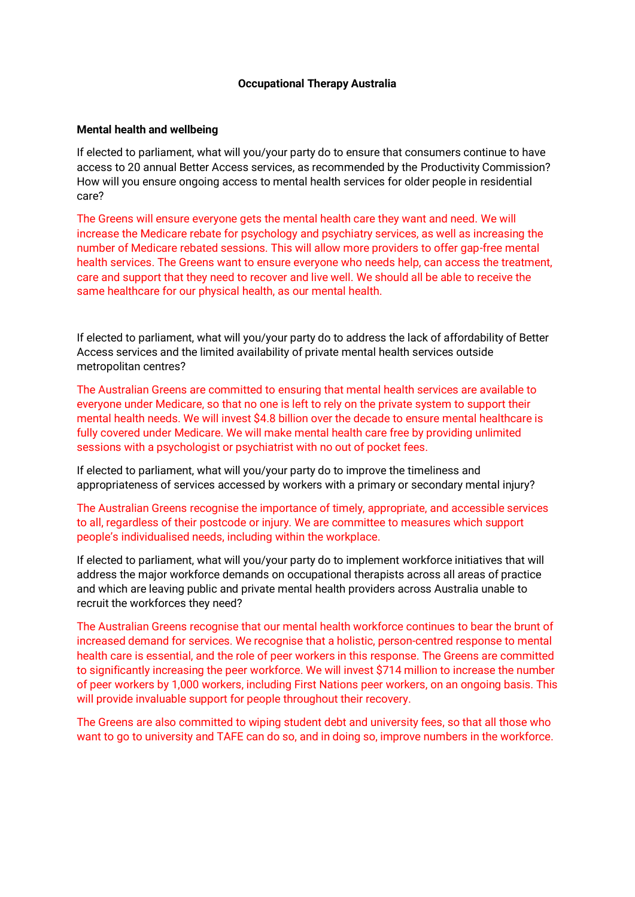### **Occupational Therapy Australia**

### **Mental health and wellbeing**

If elected to parliament, what will you/your party do to ensure that consumers continue to have access to 20 annual Better Access services, as recommended by the Productivity Commission? How will you ensure ongoing access to mental health services for older people in residential care?

The Greens will ensure everyone gets the mental health care they want and need. We will increase the Medicare rebate for psychology and psychiatry services, as well as increasing the number of Medicare rebated sessions. This will allow more providers to offer gap-free mental health services. The Greens want to ensure everyone who needs help, can access the treatment, care and support that they need to recover and live well. We should all be able to receive the same healthcare for our physical health, as our mental health.

If elected to parliament, what will you/your party do to address the lack of affordability of Better Access services and the limited availability of private mental health services outside metropolitan centres?

The Australian Greens are committed to ensuring that mental health services are available to everyone under Medicare, so that no one is left to rely on the private system to support their mental health needs. We will invest \$4.8 billion over the decade to ensure mental healthcare is fully covered under Medicare. We will make mental health care free by providing unlimited sessions with a psychologist or psychiatrist with no out of pocket fees.

If elected to parliament, what will you/your party do to improve the timeliness and appropriateness of services accessed by workers with a primary or secondary mental injury?

The Australian Greens recognise the importance of timely, appropriate, and accessible services to all, regardless of their postcode or injury. We are committee to measures which support people's individualised needs, including within the workplace.

If elected to parliament, what will you/your party do to implement workforce initiatives that will address the major workforce demands on occupational therapists across all areas of practice and which are leaving public and private mental health providers across Australia unable to recruit the workforces they need?

The Australian Greens recognise that our mental health workforce continues to bear the brunt of increased demand for services. We recognise that a holistic, person-centred response to mental health care is essential, and the role of peer workers in this response. The Greens are committed to significantly increasing the peer workforce. We will invest \$714 million to increase the number of peer workers by 1,000 workers, including First Nations peer workers, on an ongoing basis. This will provide invaluable support for people throughout their recovery.

The Greens are also committed to wiping student debt and university fees, so that all those who want to go to university and TAFE can do so, and in doing so, improve numbers in the workforce.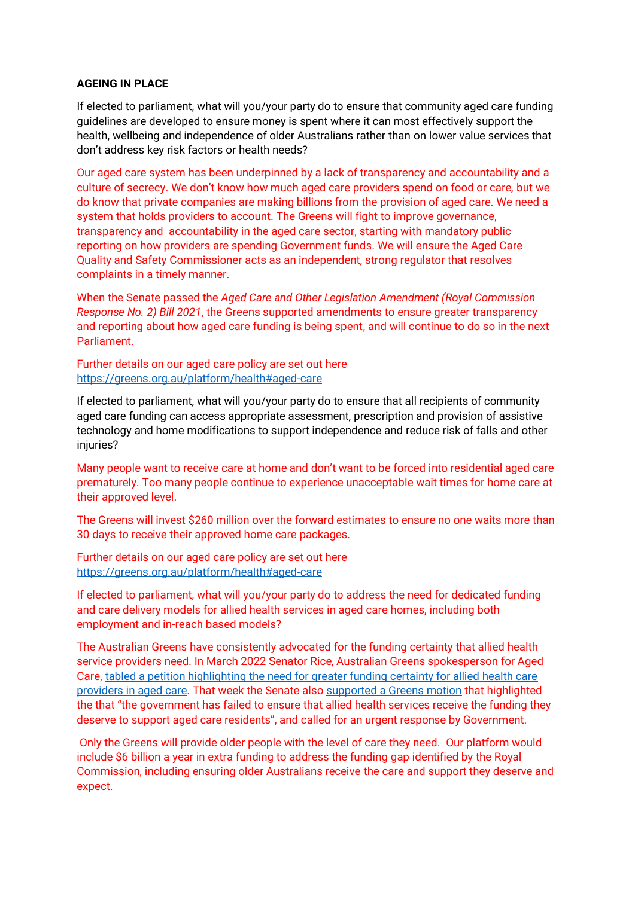### **AGEING IN PLACE**

If elected to parliament, what will you/your party do to ensure that community aged care funding guidelines are developed to ensure money is spent where it can most effectively support the health, wellbeing and independence of older Australians rather than on lower value services that don't address key risk factors or health needs?

Our aged care system has been underpinned by a lack of transparency and accountability and a culture of secrecy. We don't know how much aged care providers spend on food or care, but we do know that private companies are making billions from the provision of aged care. We need a system that holds providers to account. The Greens will fight to improve governance, transparency and accountability in the aged care sector, starting with mandatory public reporting on how providers are spending Government funds. We will ensure the Aged Care Quality and Safety Commissioner acts as an independent, strong regulator that resolves complaints in a timely manner.

When the Senate passed the *Aged Care and Other Legislation Amendment (Royal Commission Response No. 2) Bill 2021*, the Greens supported amendments to ensure greater transparency and reporting about how aged care funding is being spent, and will continue to do so in the next Parliament.

Further details on our aged care policy are set out here [https://greens.org.au/platform/health#aged-care](about:blank#aged-care)

If elected to parliament, what will you/your party do to ensure that all recipients of community aged care funding can access appropriate assessment, prescription and provision of assistive technology and home modifications to support independence and reduce risk of falls and other injuries?

Many people want to receive care at home and don't want to be forced into residential aged care prematurely. Too many people continue to experience unacceptable wait times for home care at their approved level.

The Greens will invest \$260 million over the forward estimates to ensure no one waits more than 30 days to receive their approved home care packages.

Further details on our aged care policy are set out here [https://greens.org.au/platform/health#aged-care](about:blank#aged-care)

If elected to parliament, what will you/your party do to address the need for dedicated funding and care delivery models for allied health services in aged care homes, including both employment and in-reach based models?

The Australian Greens have consistently advocated for the funding certainty that allied health service providers need. In March 2022 Senator Rice, Australian Greens spokesperson for Aged Care, [tabled a petition highlighting the need for greater funding certainty for allied health care](about:blank)  [providers in aged care.](about:blank) That week the Senate also [supported a Greens motion](about:blank) that highlighted the that "the government has failed to ensure that allied health services receive the funding they deserve to support aged care residents", and called for an urgent response by Government.

Only the Greens will provide older people with the level of care they need. Our platform would include \$6 billion a year in extra funding to address the funding gap identified by the Royal Commission, including ensuring older Australians receive the care and support they deserve and expect.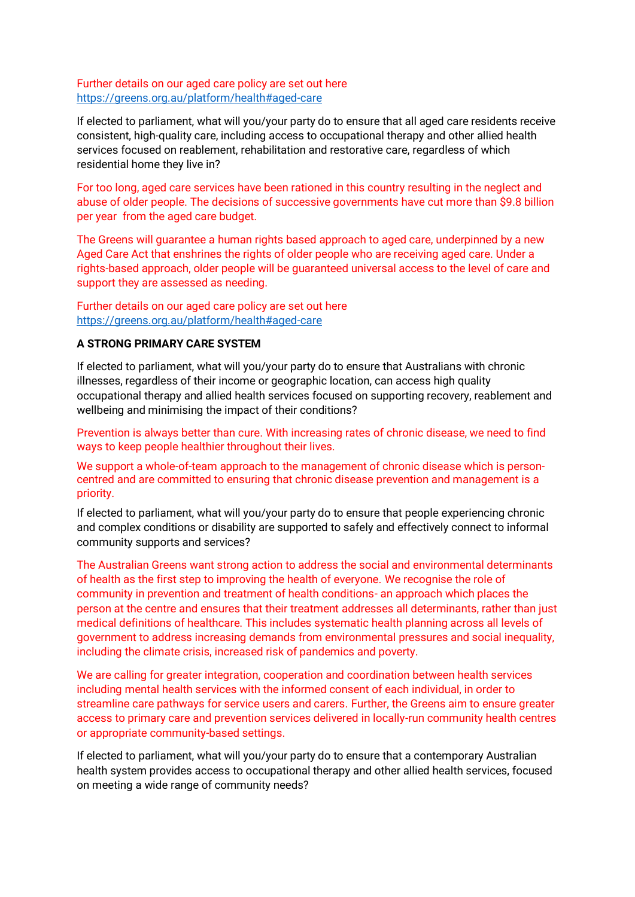## Further details on our aged care policy are set out here https://greens.org.au/platform/health#aged-care

If elected to parliament, what will you/your party do to ensure that all aged care residents receive consistent, high-quality care, including access to occupational therapy and other allied health services focused on reablement, rehabilitation and restorative care, regardless of which residential home they live in?

For too long, aged care services have been rationed in this country resulting in the neglect and abuse of older people. The decisions of successive governments have cut more than \$9.8 billion per year from the aged care budget.

The Greens will guarantee a human rights based approach to aged care, underpinned by a new Aged Care Act that enshrines the rights of older people who are receiving aged care. Under a rights-based approach, older people will be guaranteed universal access to the level of care and support they are assessed as needing.

Further details on our aged care policy are set out here https://greens.org.au/platform/health#aged-care

# **A STRONG PRIMARY CARE SYSTEM**

If elected to parliament, what will you/your party do to ensure that Australians with chronic illnesses, regardless of their income or geographic location, can access high quality occupational therapy and allied health services focused on supporting recovery, reablement and wellbeing and minimising the impact of their conditions?

Prevention is always better than cure. With increasing rates of chronic disease, we need to find ways to keep people healthier throughout their lives.

We support a whole-of-team approach to the management of chronic disease which is personcentred and are committed to ensuring that chronic disease prevention and management is a priority.

If elected to parliament, what will you/your party do to ensure that people experiencing chronic and complex conditions or disability are supported to safely and effectively connect to informal community supports and services?

The Australian Greens want strong action to address the social and environmental determinants of health as the first step to improving the health of everyone. We recognise the role of community in prevention and treatment of health conditions- an approach which places the person at the centre and ensures that their treatment addresses all determinants, rather than just medical definitions of healthcare. This includes systematic health planning across all levels of government to address increasing demands from environmental pressures and social inequality, including the climate crisis, increased risk of pandemics and poverty.

We are calling for greater integration, cooperation and coordination between health services including mental health services with the informed consent of each individual, in order to streamline care pathways for service users and carers. Further, the Greens aim to ensure greater access to primary care and prevention services delivered in locally-run community health centres or appropriate community-based settings.

If elected to parliament, what will you/your party do to ensure that a contemporary Australian health system provides access to occupational therapy and other allied health services, focused on meeting a wide range of community needs?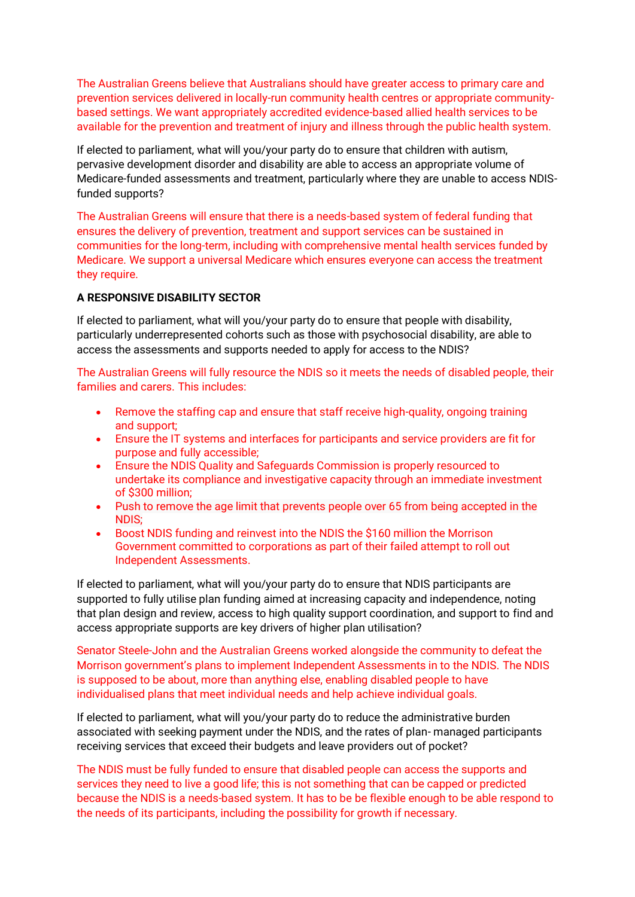The Australian Greens believe that Australians should have greater access to primary care and prevention services delivered in locally-run community health centres or appropriate communitybased settings. We want appropriately accredited evidence-based allied health services to be available for the prevention and treatment of injury and illness through the public health system.

If elected to parliament, what will you/your party do to ensure that children with autism, pervasive development disorder and disability are able to access an appropriate volume of Medicare-funded assessments and treatment, particularly where they are unable to access NDISfunded supports?

The Australian Greens will ensure that there is a needs-based system of federal funding that ensures the delivery of prevention, treatment and support services can be sustained in communities for the long-term, including with comprehensive mental health services funded by Medicare. We support a universal Medicare which ensures everyone can access the treatment they require.

## **A RESPONSIVE DISABILITY SECTOR**

If elected to parliament, what will you/your party do to ensure that people with disability, particularly underrepresented cohorts such as those with psychosocial disability, are able to access the assessments and supports needed to apply for access to the NDIS?

The Australian Greens will fully resource the NDIS so it meets the needs of disabled people, their families and carers. This includes:

- Remove the staffing cap and ensure that staff receive high-quality, ongoing training and support;
- Ensure the IT systems and interfaces for participants and service providers are fit for purpose and fully accessible;
- Ensure the NDIS Quality and Safeguards Commission is properly resourced to undertake its compliance and investigative capacity through an immediate investment of \$300 million;
- Push to remove the age limit that prevents people over 65 from being accepted in the NDIS;
- Boost NDIS funding and reinvest into the NDIS the \$160 million the Morrison Government committed to corporations as part of their failed attempt to roll out Independent Assessments.

If elected to parliament, what will you/your party do to ensure that NDIS participants are supported to fully utilise plan funding aimed at increasing capacity and independence, noting that plan design and review, access to high quality support coordination, and support to find and access appropriate supports are key drivers of higher plan utilisation?

Senator Steele-John and the Australian Greens worked alongside the community to defeat the Morrison government's plans to implement Independent Assessments in to the NDIS. The NDIS is supposed to be about, more than anything else, enabling disabled people to have individualised plans that meet individual needs and help achieve individual goals.

If elected to parliament, what will you/your party do to reduce the administrative burden associated with seeking payment under the NDIS, and the rates of plan- managed participants receiving services that exceed their budgets and leave providers out of pocket?

The NDIS must be fully funded to ensure that disabled people can access the supports and services they need to live a good life; this is not something that can be capped or predicted because the NDIS is a needs-based system. It has to be be flexible enough to be able respond to the needs of its participants, including the possibility for growth if necessary.